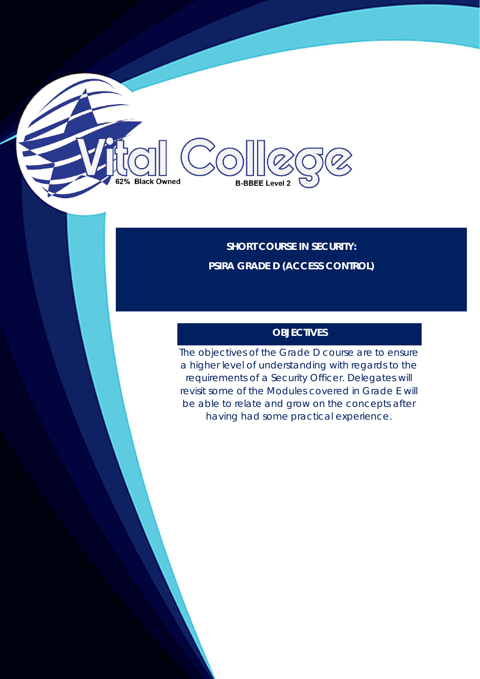**SHORT COURSE IN SECURITY: PSIRA GRADE D (ACCESS CONTROL)**

**B-BBEE Level 2** 

62% Black Owned

# **OBJECTIVES**

The objectives of the Grade D course are to ensure a higher level of understanding with regards to the requirements of a Security Officer. Delegates will revisit some of the Modules covered in Grade E will be able to relate and grow on the concepts after having had some practical experience.